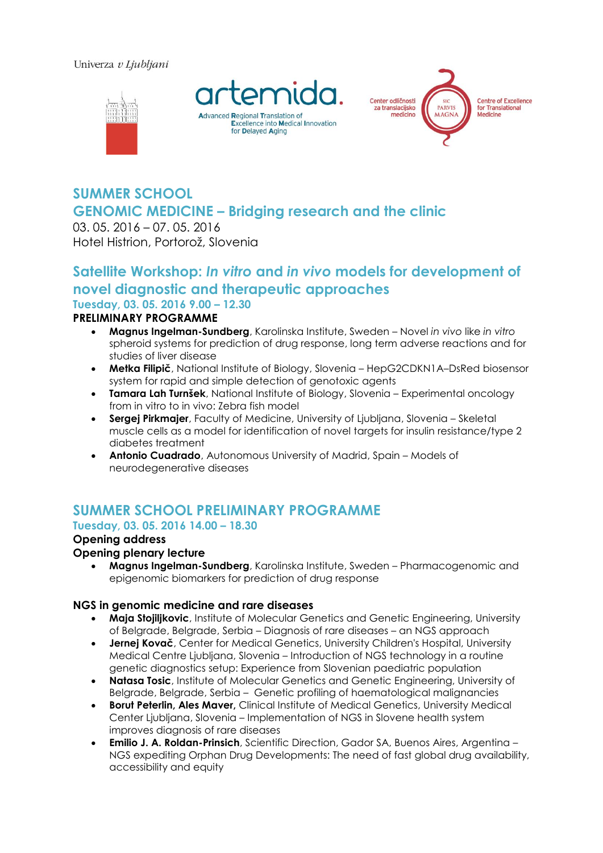#### Univerza v Ljubljani







# **SUMMER SCHOOL GENOMIC MEDICINE – Bridging research and the clinic**

03. 05. 2016 – 07. 05. 2016 Hotel Histrion, Portorož, Slovenia

# **Satellite Workshop:** *In vitro* **and** *in vivo* **models for development of novel diagnostic and therapeutic approaches Tuesday, 03. 05. 2016 9.00 – 12.30**

# **PRELIMINARY PROGRAMME**

- **Magnus Ingelman-Sundberg**, Karolinska Institute, Sweden Novel *in vivo* like *in vitro* spheroid systems for prediction of drug response, long term adverse reactions and for studies of liver disease
- **Metka Filipič**, National Institute of Biology, Slovenia HepG2CDKN1A–DsRed biosensor system for rapid and simple detection of genotoxic agents
- **Tamara Lah Turnšek**, National Institute of Biology, Slovenia Experimental oncology from in vitro to in vivo: Zebra fish model
- **Sergej Pirkmajer**, Faculty of Medicine, University of Ljubljana, Slovenia Skeletal muscle cells as a model for identification of novel targets for insulin resistance/type 2 diabetes treatment
- **Antonio Cuadrado**, Autonomous University of Madrid, Spain Models of neurodegenerative diseases

# **SUMMER SCHOOL PRELIMINARY PROGRAMME**

# **Tuesday, 03. 05. 2016 14.00 – 18.30**

# **Opening address**

#### **Opening plenary lecture**

 **Magnus Ingelman-Sundberg**, Karolinska Institute, Sweden – Pharmacogenomic and epigenomic biomarkers for prediction of drug response

#### **NGS in genomic medicine and rare diseases**

- **Maja Stojiljkovic**, Institute of Molecular Genetics and Genetic Engineering, University of Belgrade, Belgrade, Serbia – Diagnosis of rare diseases – an NGS approach
- **Jernej Kovač**, Center for Medical Genetics, University Children's Hospital, University Medical Centre Ljubljana, Slovenia – Introduction of NGS technology in a routine genetic diagnostics setup: Experience from Slovenian paediatric population
- **Natasa Tosic**, Institute of Molecular Genetics and Genetic Engineering, University of Belgrade, Belgrade, Serbia – Genetic profiling of haematological malignancies
- **Borut Peterlin, Ales Maver,** Clinical Institute of Medical Genetics, University Medical Center Ljubljana, Slovenia – Implementation of NGS in Slovene health system improves diagnosis of rare diseases
- **Emilio J. A. Roldan-Prinsich**, Scientific Direction, Gador SA, Buenos Aires, Argentina NGS expediting Orphan Drug Developments: The need of fast global drug availability, accessibility and equity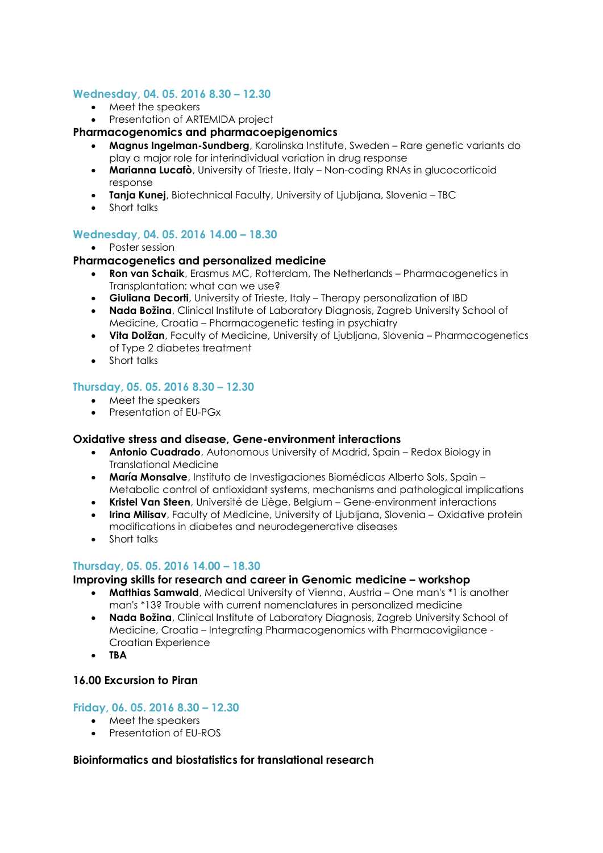#### **Wednesday, 04. 05. 2016 8.30 – 12.30**

- Meet the speakers
- Presentation of ARTEMIDA project

#### **Pharmacogenomics and pharmacoepigenomics**

- **Magnus Ingelman-Sundberg**, Karolinska Institute, Sweden Rare genetic variants do play a major role for interindividual variation in drug response
- **Marianna Lucafò**, University of Trieste, Italy Non-coding RNAs in glucocorticoid response
- **Tanja Kunej**, Biotechnical Faculty, University of Ljubljana, Slovenia TBC
- Short talks

#### **Wednesday, 04. 05. 2016 14.00 – 18.30**

• Poster session

#### **Pharmacogenetics and personalized medicine**

- **Ron van Schaik**, Erasmus MC, Rotterdam, The Netherlands Pharmacogenetics in Transplantation: what can we use?
- **Giuliana Decorti**, University of Trieste, Italy Therapy personalization of IBD
- **Nada Božina**, Clinical Institute of Laboratory Diagnosis, Zagreb University School of Medicine, Croatia – Pharmacogenetic testing in psychiatry
- **Vita Dolžan**, Faculty of Medicine, University of Ljubljana, Slovenia Pharmacogenetics of Type 2 diabetes treatment
- Short talks

#### **Thursday, 05. 05. 2016 8.30 – 12.30**

- Meet the speakers
- Presentation of EU-PGx

#### **Oxidative stress and disease, Gene-environment interactions**

- **Antonio Cuadrado**, Autonomous University of Madrid, Spain Redox Biology in Translational Medicine
- **María Monsalve**, Instituto de Investigaciones Biomédicas Alberto Sols, Spain Metabolic control of antioxidant systems, mechanisms and pathological implications
- **Kristel Van Steen**, Université de Liège, Belgium Gene-environment interactions
- **Irina Milisav**, Faculty of Medicine, University of Ljubljana, Slovenia Oxidative protein modifications in diabetes and neurodegenerative diseases
- Short talks

#### **Thursday, 05. 05. 2016 14.00 – 18.30**

#### **Improving skills for research and career in Genomic medicine – workshop**

- **Matthias Samwald**, Medical University of Vienna, Austria One man's \*1 is another man's \*13? Trouble with current nomenclatures in personalized medicine
- **Nada Božina**, Clinical Institute of Laboratory Diagnosis, Zagreb University School of Medicine, Croatia – Integrating Pharmacogenomics with Pharmacovigilance - Croatian Experience
- **TBA**

#### **16.00 Excursion to Piran**

#### **Friday, 06. 05. 2016 8.30 – 12.30**

- Meet the speakers
- Presentation of EU-ROS

#### **Bioinformatics and biostatistics for translational research**